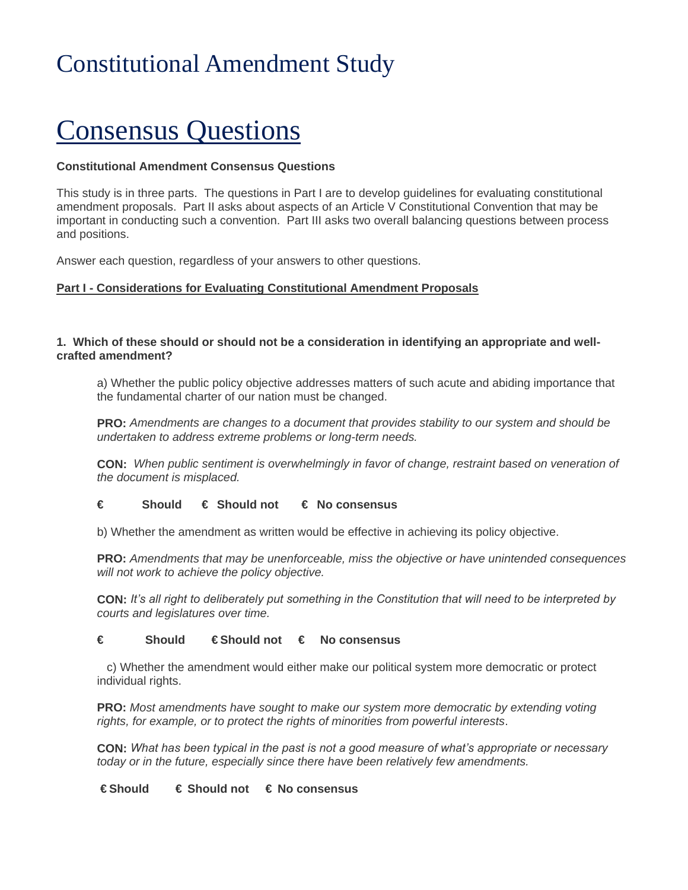# Constitutional Amendment Study

# Consensus Questions

# **Constitutional Amendment Consensus Questions**

This study is in three parts. The questions in Part I are to develop guidelines for evaluating constitutional amendment proposals. Part II asks about aspects of an Article V Constitutional Convention that may be important in conducting such a convention. Part III asks two overall balancing questions between process and positions.

Answer each question, regardless of your answers to other questions.

# **Part I - Considerations for Evaluating Constitutional Amendment Proposals**

# **1. Which of these should or should not be a consideration in identifying an appropriate and wellcrafted amendment?**

a) Whether the public policy objective addresses matters of such acute and abiding importance that the fundamental charter of our nation must be changed.

**PRO:** *Amendments are changes to a document that provides stability to our system and should be undertaken to address extreme problems or long-term needs.*

**CON:** *When public sentiment is overwhelmingly in favor of change, restraint based on veneration of the document is misplaced.*

# **€ Should € Should not € No consensus**

b) Whether the amendment as written would be effective in achieving its policy objective.

**PRO:** *Amendments that may be unenforceable, miss the objective or have unintended consequences will not work to achieve the policy objective.*

**CON:** *It's all right to deliberately put something in the Constitution that will need to be interpreted by courts and legislatures over time.*

#### **€ Should € Should not € No consensus**

 c) Whether the amendment would either make our political system more democratic or protect individual rights.

**PRO:** *Most amendments have sought to make our system more democratic by extending voting rights, for example, or to protect the rights of minorities from powerful interests*.

**CON:** *What has been typical in the past is not a good measure of what's appropriate or necessary today or in the future, especially since there have been relatively few amendments.* 

#### **€ Should € Should not € No consensus**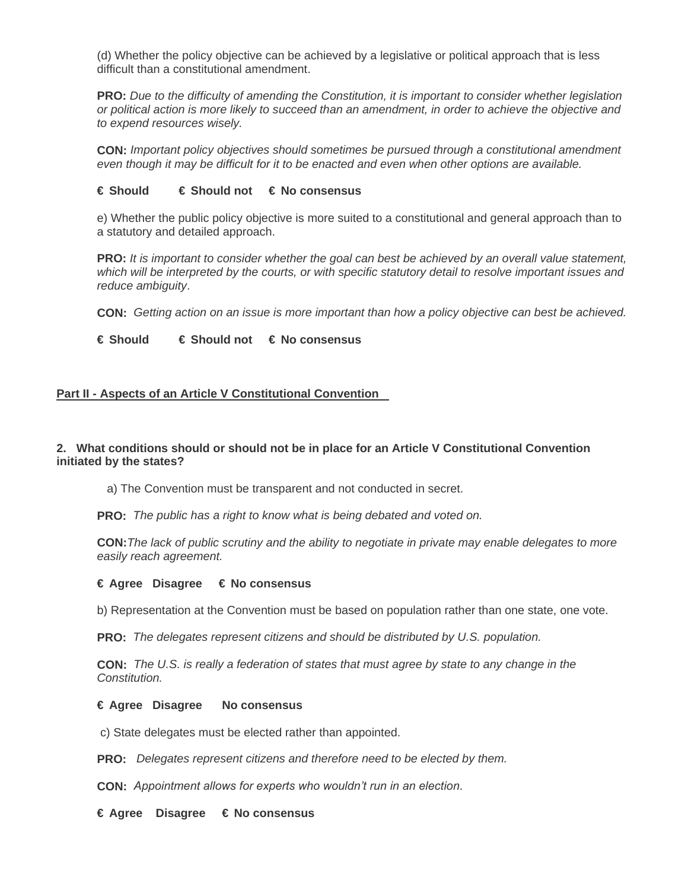(d) Whether the policy objective can be achieved by a legislative or political approach that is less difficult than a constitutional amendment.

**PRO:** *Due to the difficulty of amending the Constitution, it is important to consider whether legislation or political action is more likely to succeed than an amendment, in order to achieve the objective and to expend resources wisely.*

**CON:** *Important policy objectives should sometimes be pursued through a constitutional amendment even though it may be difficult for it to be enacted and even when other options are available.*

#### **€ Should € Should not € No consensus**

e) Whether the public policy objective is more suited to a constitutional and general approach than to a statutory and detailed approach.

**PRO:** *It is important to consider whether the goal can best be achieved by an overall value statement, which will be interpreted by the courts, or with specific statutory detail to resolve important issues and reduce ambiguity*.

**CON:** *Getting action on an issue is more important than how a policy objective can best be achieved.*

# **€ Should € Should not € No consensus**

#### **Part II - Aspects of an Article V Constitutional Convention**

## **2. What conditions should or should not be in place for an Article V Constitutional Convention initiated by the states?**

a) The Convention must be transparent and not conducted in secret.

**PRO:** *The public has a right to know what is being debated and voted on.*

**CON:***The lack of public scrutiny and the ability to negotiate in private may enable delegates to more easily reach agreement.*

#### **€ Agree Disagree € No consensus**

b) Representation at the Convention must be based on population rather than one state, one vote.

**PRO:** *The delegates represent citizens and should be distributed by U.S. population.*

**CON:** *The U.S. is really a federation of states that must agree by state to any change in the Constitution.*

#### **€ Agree Disagree No consensus**

c) State delegates must be elected rather than appointed.

**PRO:** *Delegates represent citizens and therefore need to be elected by them.*

**CON:** *Appointment allows for experts who wouldn't run in an election*.

**€ Agree Disagree € No consensus**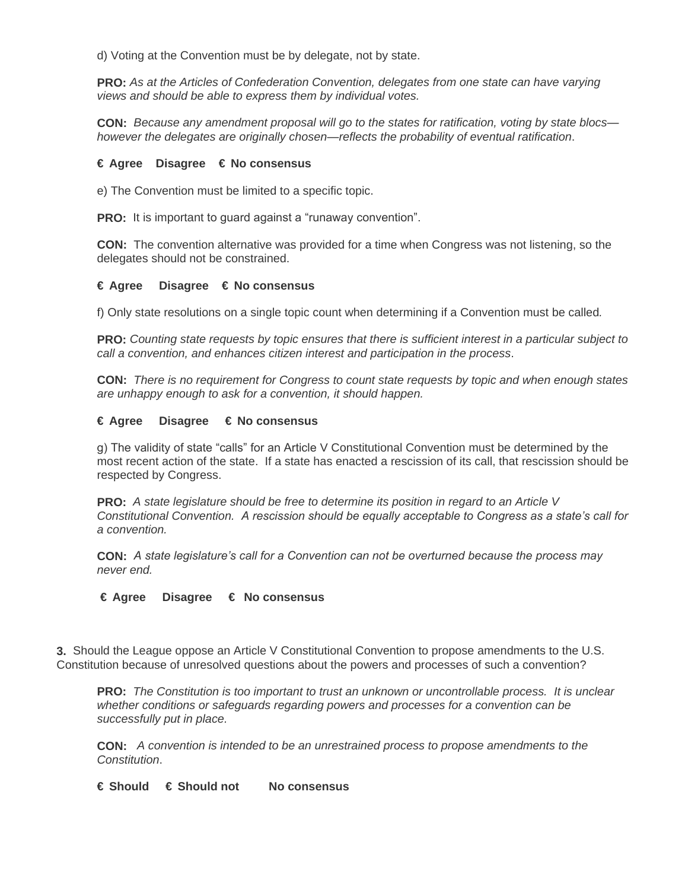d) Voting at the Convention must be by delegate, not by state.

**PRO:** *As at the Articles of Confederation Convention, delegates from one state can have varying views and should be able to express them by individual votes.*

**CON:** *Because any amendment proposal will go to the states for ratification, voting by state blocs however the delegates are originally chosen—reflects the probability of eventual ratification*.

## **€ Agree Disagree € No consensus**

e) The Convention must be limited to a specific topic.

**PRO:** It is important to guard against a "runaway convention".

**CON:** The convention alternative was provided for a time when Congress was not listening, so the delegates should not be constrained.

## **€ Agree Disagree € No consensus**

f) Only state resolutions on a single topic count when determining if a Convention must be called*.* 

**PRO:** *Counting state requests by topic ensures that there is sufficient interest in a particular subject to call a convention, and enhances citizen interest and participation in the process*.

**CON:** *There is no requirement for Congress to count state requests by topic and when enough states are unhappy enough to ask for a convention, it should happen.*

## **€ Agree Disagree € No consensus**

g) The validity of state "calls" for an Article V Constitutional Convention must be determined by the most recent action of the state. If a state has enacted a rescission of its call, that rescission should be respected by Congress.

**PRO:** *A state legislature should be free to determine its position in regard to an Article V Constitutional Convention. A rescission should be equally acceptable to Congress as a state's call for a convention.*

**CON:** *A state legislature's call for a Convention can not be overturned because the process may never end.*

#### **€ Agree Disagree € No consensus**

**3.** Should the League oppose an Article V Constitutional Convention to propose amendments to the U.S. Constitution because of unresolved questions about the powers and processes of such a convention?

**PRO:** *The Constitution is too important to trust an unknown or uncontrollable process. It is unclear whether conditions or safeguards regarding powers and processes for a convention can be successfully put in place.*

**CON:** *A convention is intended to be an unrestrained process to propose amendments to the Constitution*.

**€ Should € Should not No consensus**